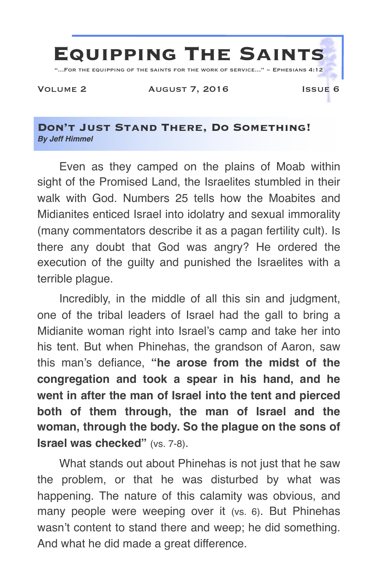

## **Don't Just Stand There, Do Something!** *By Jeff Himmel*

Even as they camped on the plains of Moab within sight of the Promised Land, the Israelites stumbled in their walk with God. Numbers 25 tells how the Moabites and Midianites enticed Israel into idolatry and sexual immorality (many commentators describe it as a pagan fertility cult). Is there any doubt that God was angry? He ordered the execution of the guilty and punished the Israelites with a terrible plague.

Incredibly, in the middle of all this sin and judgment, one of the tribal leaders of Israel had the gall to bring a Midianite woman right into Israel's camp and take her into his tent. But when Phinehas, the grandson of Aaron, saw this man's defiance, **"he arose from the midst of the congregation and took a spear in his hand, and he went in after the man of Israel into the tent and pierced both of them through, the man of Israel and the woman, through the body. So the plague on the sons of Israel was checked"** (vs. 7-8).

What stands out about Phinehas is not just that he saw the problem, or that he was disturbed by what was happening. The nature of this calamity was obvious, and many people were weeping over it (vs. 6). But Phinehas wasn't content to stand there and weep; he did something. And what he did made a great difference.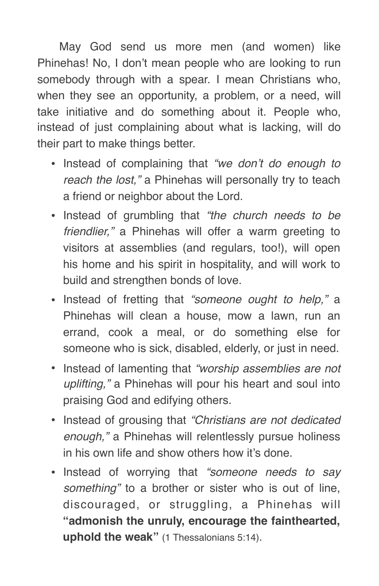May God send us more men (and women) like Phinehas! No, I don't mean people who are looking to run somebody through with a spear. I mean Christians who, when they see an opportunity, a problem, or a need, will take initiative and do something about it. People who, instead of just complaining about what is lacking, will do their part to make things better.

- Instead of complaining that *"we don't do enough to reach the lost,"* a Phinehas will personally try to teach a friend or neighbor about the Lord.
- Instead of grumbling that *"the church needs to be friendlier,"* a Phinehas will offer a warm greeting to visitors at assemblies (and regulars, too!), will open his home and his spirit in hospitality, and will work to build and strengthen bonds of love.
- Instead of fretting that *"someone ought to help,"* a Phinehas will clean a house, mow a lawn, run an errand, cook a meal, or do something else for someone who is sick, disabled, elderly, or just in need.
- Instead of lamenting that *"worship assemblies are not uplifting,"* a Phinehas will pour his heart and soul into praising God and edifying others.
- Instead of grousing that *"Christians are not dedicated enough,"* a Phinehas will relentlessly pursue holiness in his own life and show others how it's done.
- Instead of worrying that *"someone needs to say something"* to a brother or sister who is out of line, discouraged, or struggling, a Phinehas will **"admonish the unruly, encourage the fainthearted, uphold the weak"** (1 Thessalonians 5:14).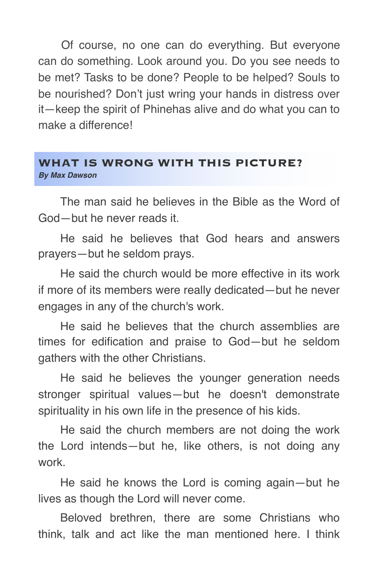Of course, no one can do everything. But everyone can do something. Look around you. Do you see needs to be met? Tasks to be done? People to be helped? Souls to be nourished? Don't just wring your hands in distress over it—keep the spirit of Phinehas alive and do what you can to make a difference!

## **WHAT IS WRONG WITH THIS PICTURE?** *By Max Dawson*

The man said he believes in the Bible as the Word of God—but he never reads it.

He said he believes that God hears and answers prayers—but he seldom prays.

He said the church would be more effective in its work if more of its members were really dedicated—but he never engages in any of the church's work.

He said he believes that the church assemblies are times for edification and praise to God—but he seldom gathers with the other Christians.

He said he believes the younger generation needs stronger spiritual values—but he doesn't demonstrate spirituality in his own life in the presence of his kids.

He said the church members are not doing the work the Lord intends—but he, like others, is not doing any work.

He said he knows the Lord is coming again—but he lives as though the Lord will never come.

Beloved brethren, there are some Christians who think, talk and act like the man mentioned here. I think